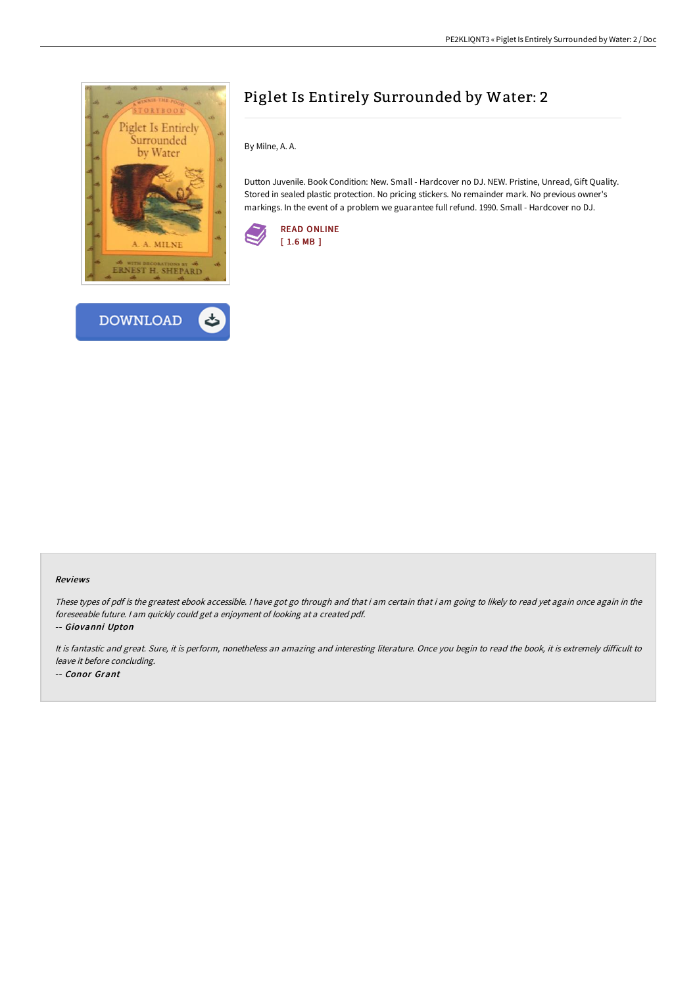



By Milne, A. A.

Dutton Juvenile. Book Condition: New. Small - Hardcover no DJ. NEW. Pristine, Unread, Gift Quality. Stored in sealed plastic protection. No pricing stickers. No remainder mark. No previous owner's markings. In the event of a problem we guarantee full refund. 1990. Small - Hardcover no DJ.



#### Reviews

These types of pdf is the greatest ebook accessible. I have got go through and that i am certain that i am going to likely to read yet again once again in the foreseeable future. <sup>I</sup> am quickly could get <sup>a</sup> enjoyment of looking at <sup>a</sup> created pdf.

-- Giovanni Upton

It is fantastic and great. Sure, it is perform, nonetheless an amazing and interesting literature. Once you begin to read the book, it is extremely difficult to leave it before concluding. -- Conor Grant